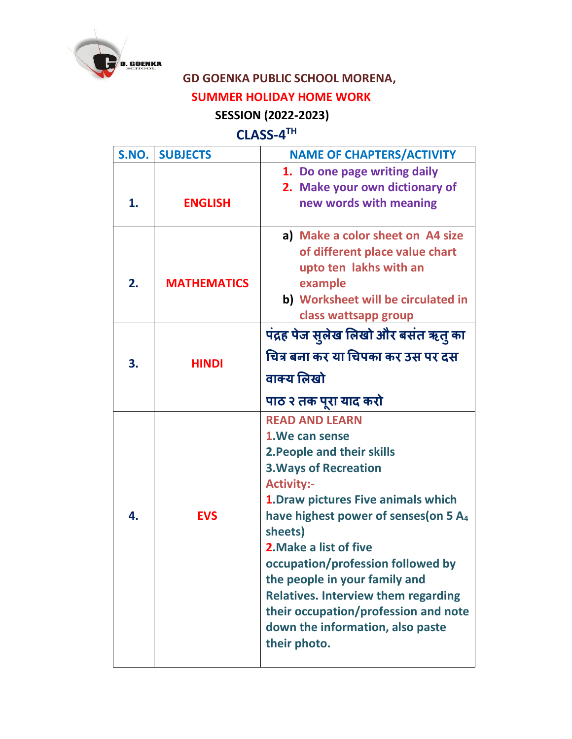

## **GD GOENKA PUBLIC SCHOOL MORENA,**

## **SUMMER HOLIDAY HOME WORK**

## **SESSION (2022-2023)**

## **CLASS-4 TH**

| S.NO. | <b>SUBJECTS</b>    | <b>NAME OF CHAPTERS/ACTIVITY</b>                                                                                                                                                                                                                                                                                                                                                                                                                                             |
|-------|--------------------|------------------------------------------------------------------------------------------------------------------------------------------------------------------------------------------------------------------------------------------------------------------------------------------------------------------------------------------------------------------------------------------------------------------------------------------------------------------------------|
| 1.    | <b>ENGLISH</b>     | 1. Do one page writing daily<br>2. Make your own dictionary of<br>new words with meaning                                                                                                                                                                                                                                                                                                                                                                                     |
| 2.    | <b>MATHEMATICS</b> | a) Make a color sheet on A4 size<br>of different place value chart<br>upto ten lakhs with an<br>example<br>b) Worksheet will be circulated in<br>class wattsapp group                                                                                                                                                                                                                                                                                                        |
| 3.    | <b>HINDI</b>       | पंद्रह पेज सुलेख लिखो और बसंत ऋतु का<br>चित्र बना कर या चिपका कर उस पर दस                                                                                                                                                                                                                                                                                                                                                                                                    |
|       |                    | वाक्य लिखो<br>पाठ २ तक पूरा याद करो                                                                                                                                                                                                                                                                                                                                                                                                                                          |
| 4.    | <b>EVS</b>         | <b>READ AND LEARN</b><br>1. We can sense<br>2. People and their skills<br><b>3. Ways of Recreation</b><br><b>Activity:-</b><br>1. Draw pictures Five animals which<br>have highest power of senses (on 5 A <sub>4</sub><br>sheets)<br>2. Make a list of five<br>occupation/profession followed by<br>the people in your family and<br><b>Relatives. Interview them regarding</b><br>their occupation/profession and note<br>down the information, also paste<br>their photo. |